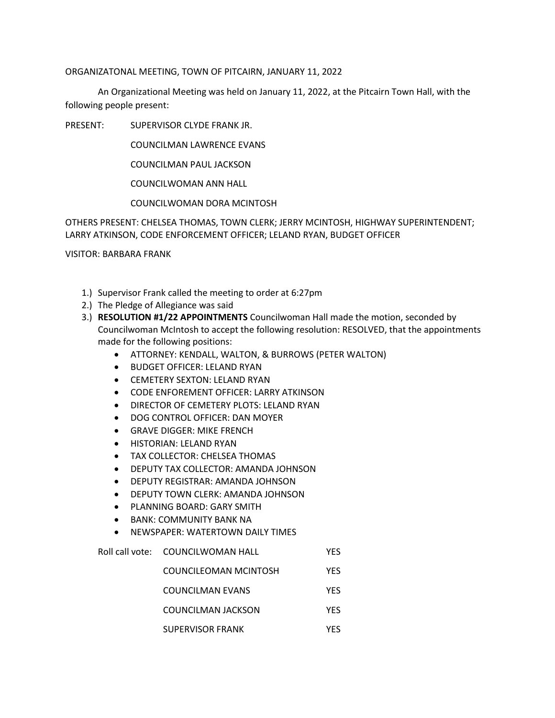## ORGANIZATONAL MEETING, TOWN OF PITCAIRN, JANUARY 11, 2022

An Organizational Meeting was held on January 11, 2022, at the Pitcairn Town Hall, with the following people present:

PRESENT: SUPERVISOR CLYDE FRANK JR.

COUNCILMAN LAWRENCE EVANS

COUNCILMAN PAUL JACKSON

COUNCILWOMAN ANN HALL

COUNCILWOMAN DORA MCINTOSH

OTHERS PRESENT: CHELSEA THOMAS, TOWN CLERK; JERRY MCINTOSH, HIGHWAY SUPERINTENDENT; LARRY ATKINSON, CODE ENFORCEMENT OFFICER; LELAND RYAN, BUDGET OFFICER

VISITOR: BARBARA FRANK

- 1.) Supervisor Frank called the meeting to order at 6:27pm
- 2.) The Pledge of Allegiance was said
- 3.) **RESOLUTION #1/22 APPOINTMENTS** Councilwoman Hall made the motion, seconded by Councilwoman McIntosh to accept the following resolution: RESOLVED, that the appointments made for the following positions:
	- ATTORNEY: KENDALL, WALTON, & BURROWS (PETER WALTON)
	- BUDGET OFFICER: LELAND RYAN
	- CEMETERY SEXTON: LELAND RYAN
	- CODE ENFOREMENT OFFICER: LARRY ATKINSON
	- DIRECTOR OF CEMETERY PLOTS: LELAND RYAN
	- DOG CONTROL OFFICER: DAN MOYER
	- GRAVE DIGGER: MIKE FRENCH
	- HISTORIAN: LELAND RYAN
	- TAX COLLECTOR: CHELSEA THOMAS
	- DEPUTY TAX COLLECTOR: AMANDA JOHNSON
	- DEPUTY REGISTRAR: AMANDA JOHNSON
	- DEPUTY TOWN CLERK: AMANDA JOHNSON
	- PLANNING BOARD: GARY SMITH
	- BANK: COMMUNITY BANK NA
	- NEWSPAPER: WATERTOWN DAILY TIMES

Roll call vote: COUNCILWOMAN HALL YES

- COUNCILEOMAN MCINTOSH YES
- COUNCILMAN EVANS YES
- COUNCILMAN JACKSON YES
- SUPERVISOR FRANK YES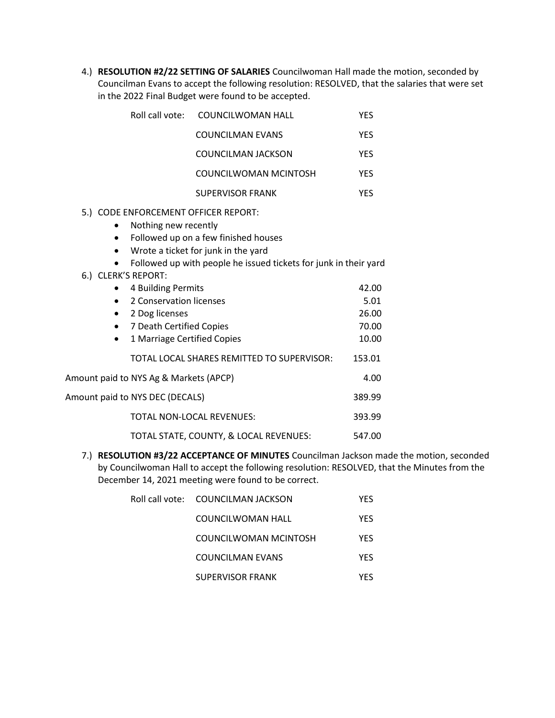4.) **RESOLUTION #2/22 SETTING OF SALARIES** Councilwoman Hall made the motion, seconded by Councilman Evans to accept the following resolution: RESOLVED, that the salaries that were set in the 2022 Final Budget were found to be accepted.

|                                                   | Roll call vote: | COUNCILWOMAN HALL                   | YES |
|---------------------------------------------------|-----------------|-------------------------------------|-----|
|                                                   |                 | <b>COUNCILMAN EVANS</b>             | YES |
|                                                   |                 | COUNCILMAN JACKSON                  | YES |
|                                                   |                 | COUNCILWOMAN MCINTOSH               | YES |
|                                                   |                 | <b>SUPERVISOR FRANK</b>             | YES |
| 5.) CODE ENFORCEMENT OFFICER REPORT:              |                 |                                     |     |
| Nothing new recently                              |                 |                                     |     |
| Followed up on a few finished houses<br>$\bullet$ |                 |                                     |     |
|                                                   | $\bullet$       | Wrote a ticket for junk in the yard |     |

- Followed up with people he issued tickets for junk in their yard
- 6.) CLERK'S REPORT:

| 4 Building Permits                         | 42.00  |
|--------------------------------------------|--------|
| 2 Conservation licenses                    | 5.01   |
| 2 Dog licenses                             | 26.00  |
| 7 Death Certified Copies<br>$\bullet$      | 70.00  |
| 1 Marriage Certified Copies<br>٠           | 10.00  |
| TOTAL LOCAL SHARES REMITTED TO SUPERVISOR: | 153.01 |
| Amount paid to NYS Ag & Markets (APCP)     | 4.00   |
| Amount paid to NYS DEC (DECALS)            | 389.99 |
| <b>TOTAL NON-LOCAL REVENUES:</b>           | 393.99 |
| TOTAL STATE, COUNTY, & LOCAL REVENUES:     | 547.00 |

7.) **RESOLUTION #3/22 ACCEPTANCE OF MINUTES** Councilman Jackson made the motion, seconded by Councilwoman Hall to accept the following resolution: RESOLVED, that the Minutes from the December 14, 2021 meeting were found to be correct.

| Roll call vote:     COUNCILMAN JACKSON | YFS |
|----------------------------------------|-----|
| COUNCILWOMAN HALL                      | YFS |
| COUNCILWOMAN MCINTOSH                  | YFS |
| COUNCILMAN EVANS                       | YFS |
| <b>SUPERVISOR FRANK</b>                | YFS |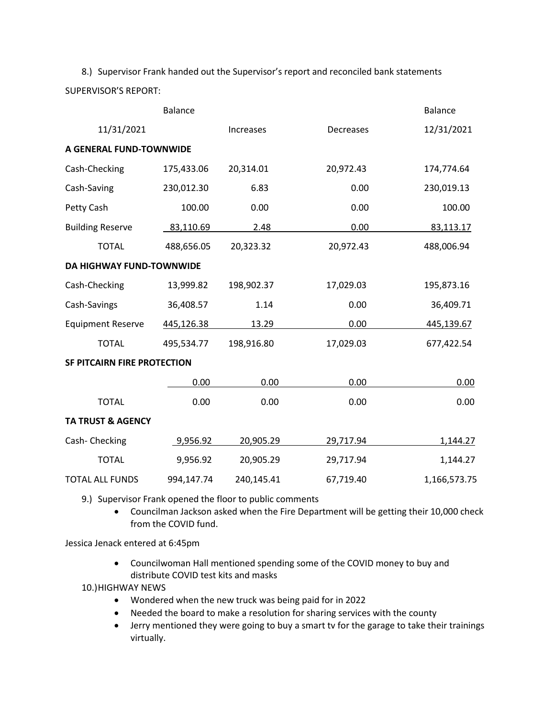8.) Supervisor Frank handed out the Supervisor's report and reconciled bank statements SUPERVISOR'S REPORT:

|                                    | <b>Balance</b> |            |           | <b>Balance</b> |
|------------------------------------|----------------|------------|-----------|----------------|
| 11/31/2021                         |                | Increases  | Decreases | 12/31/2021     |
| A GENERAL FUND-TOWNWIDE            |                |            |           |                |
| Cash-Checking                      | 175,433.06     | 20,314.01  | 20,972.43 | 174,774.64     |
| Cash-Saving                        | 230,012.30     | 6.83       | 0.00      | 230,019.13     |
| Petty Cash                         | 100.00         | 0.00       | 0.00      | 100.00         |
| <b>Building Reserve</b>            | 83,110.69      | 2.48       | 0.00      | 83,113.17      |
| <b>TOTAL</b>                       | 488,656.05     | 20,323.32  | 20,972.43 | 488,006.94     |
| <b>DA HIGHWAY FUND-TOWNWIDE</b>    |                |            |           |                |
| Cash-Checking                      | 13,999.82      | 198,902.37 | 17,029.03 | 195,873.16     |
| Cash-Savings                       | 36,408.57      | 1.14       | 0.00      | 36,409.71      |
| <b>Equipment Reserve</b>           | 445,126.38     | 13.29      | 0.00      | 445,139.67     |
| <b>TOTAL</b>                       | 495,534.77     | 198,916.80 | 17,029.03 | 677,422.54     |
| <b>SF PITCAIRN FIRE PROTECTION</b> |                |            |           |                |
|                                    | 0.00           | 0.00       | 0.00      | 0.00           |
| <b>TOTAL</b>                       | 0.00           | 0.00       | 0.00      | 0.00           |
| <b>TA TRUST &amp; AGENCY</b>       |                |            |           |                |
| Cash-Checking                      | 9,956.92       | 20,905.29  | 29,717.94 | 1,144.27       |
| <b>TOTAL</b>                       | 9,956.92       | 20,905.29  | 29,717.94 | 1,144.27       |
| <b>TOTAL ALL FUNDS</b>             | 994,147.74     | 240,145.41 | 67,719.40 | 1,166,573.75   |

9.) Supervisor Frank opened the floor to public comments

• Councilman Jackson asked when the Fire Department will be getting their 10,000 check from the COVID fund.

Jessica Jenack entered at 6:45pm

• Councilwoman Hall mentioned spending some of the COVID money to buy and distribute COVID test kits and masks

10.)HIGHWAY NEWS

- Wondered when the new truck was being paid for in 2022
- Needed the board to make a resolution for sharing services with the county
- Jerry mentioned they were going to buy a smart tv for the garage to take their trainings virtually.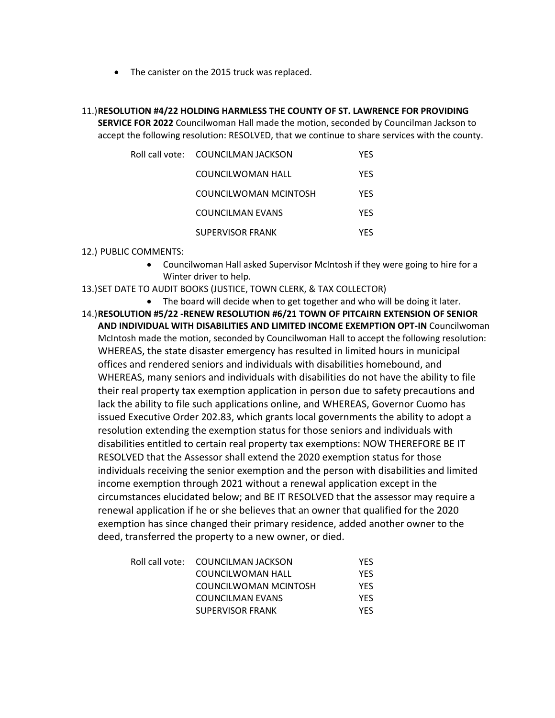- The canister on the 2015 truck was replaced.
- 11.)**RESOLUTION #4/22 HOLDING HARMLESS THE COUNTY OF ST. LAWRENCE FOR PROVIDING SERVICE FOR 2022** Councilwoman Hall made the motion, seconded by Councilman Jackson to accept the following resolution: RESOLVED, that we continue to share services with the county.

| Roll call vote:     COUNCILMAN JACKSON | YFS        |
|----------------------------------------|------------|
| COUNCILWOMAN HALL                      | YFS        |
| COUNCILWOMAN MCINTOSH                  | <b>YFS</b> |
| COUNCILMAN EVANS                       | YFS        |
| <b>SUPERVISOR FRANK</b>                | YFS        |

## 12.) PUBLIC COMMENTS:

- Councilwoman Hall asked Supervisor McIntosh if they were going to hire for a Winter driver to help.
- 13.)SET DATE TO AUDIT BOOKS (JUSTICE, TOWN CLERK, & TAX COLLECTOR)
	- The board will decide when to get together and who will be doing it later.
- 14.)**RESOLUTION #5/22 -RENEW RESOLUTION #6/21 TOWN OF PITCAIRN EXTENSION OF SENIOR AND INDIVIDUAL WITH DISABILITIES AND LIMITED INCOME EXEMPTION OPT-IN** Councilwoman McIntosh made the motion, seconded by Councilwoman Hall to accept the following resolution: WHEREAS, the state disaster emergency has resulted in limited hours in municipal offices and rendered seniors and individuals with disabilities homebound, and WHEREAS, many seniors and individuals with disabilities do not have the ability to file their real property tax exemption application in person due to safety precautions and lack the ability to file such applications online, and WHEREAS, Governor Cuomo has issued Executive Order 202.83, which grants local governments the ability to adopt a resolution extending the exemption status for those seniors and individuals with disabilities entitled to certain real property tax exemptions: NOW THEREFORE BE IT RESOLVED that the Assessor shall extend the 2020 exemption status for those individuals receiving the senior exemption and the person with disabilities and limited income exemption through 2021 without a renewal application except in the circumstances elucidated below; and BE IT RESOLVED that the assessor may require a renewal application if he or she believes that an owner that qualified for the 2020 exemption has since changed their primary residence, added another owner to the deed, transferred the property to a new owner, or died.

| Roll call vote: COUNCILMAN JACKSON | YFS. |
|------------------------------------|------|
| COUNCILWOMAN HALL                  | YFS. |
| COUNCILWOMAN MCINTOSH              | YFS. |
| COUNCILMAN EVANS                   | YFS. |
| SUPERVISOR FRANK                   | YFS. |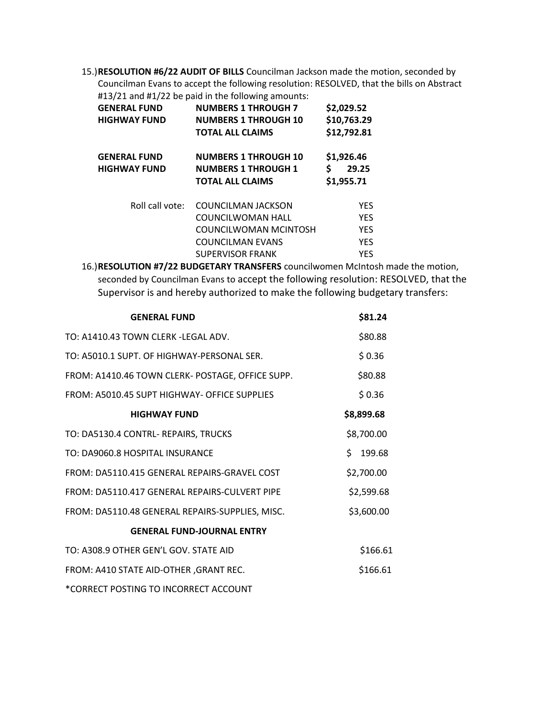15.)**RESOLUTION #6/22 AUDIT OF BILLS** Councilman Jackson made the motion, seconded by Councilman Evans to accept the following resolution: RESOLVED, that the bills on Abstract #13/21 and #1/22 be paid in the following amounts:

|                                            | $\pi$ 19/21 and $\pi$ 1/22 bc paid in the following amounts.                         |                                         |
|--------------------------------------------|--------------------------------------------------------------------------------------|-----------------------------------------|
| <b>GENERAL FUND</b>                        | <b>NUMBERS 1 THROUGH 7</b>                                                           | \$2,029.52                              |
| <b>HIGHWAY FUND</b>                        | <b>NUMBERS 1 THROUGH 10</b>                                                          | \$10,763.29                             |
|                                            | <b>TOTAL ALL CLAIMS</b>                                                              | \$12,792.81                             |
| <b>GENERAL FUND</b><br><b>HIGHWAY FUND</b> | <b>NUMBERS 1 THROUGH 10</b><br><b>NUMBERS 1 THROUGH 1</b><br><b>TOTAL ALL CLAIMS</b> | \$1,926.46<br>Ś.<br>29.25<br>\$1,955.71 |
| Roll call vote:                            | COUNCILMAN JACKSON                                                                   | <b>YES</b>                              |
|                                            | COUNCILWOMAN HALL                                                                    | <b>YES</b>                              |
|                                            | COUNCILWOMAN MCINTOSH                                                                | <b>YES</b>                              |
|                                            | <b>COUNCILMAN EVANS</b>                                                              | <b>YES</b>                              |
|                                            | <b>SUPERVISOR FRANK</b>                                                              | <b>YES</b>                              |

16.)**RESOLUTION #7/22 BUDGETARY TRANSFERS** councilwomen McIntosh made the motion, seconded by Councilman Evans to accept the following resolution: RESOLVED, that the Supervisor is and hereby authorized to make the following budgetary transfers:

| <b>GENERAL FUND</b>                              | \$81.24    |
|--------------------------------------------------|------------|
| TO: A1410.43 TOWN CLERK -LEGAL ADV.              | \$80.88    |
| TO: A5010.1 SUPT. OF HIGHWAY-PERSONAL SER.       | \$0.36     |
| FROM: A1410.46 TOWN CLERK- POSTAGE, OFFICE SUPP. | \$80.88    |
| FROM: A5010.45 SUPT HIGHWAY- OFFICE SUPPLIES     | \$0.36     |
| <b>HIGHWAY FUND</b>                              | \$8,899.68 |
| TO: DA5130.4 CONTRL- REPAIRS, TRUCKS             | \$8,700.00 |
| TO: DA9060.8 HOSPITAL INSURANCE                  | \$199.68   |
| FROM: DA5110.415 GENERAL REPAIRS-GRAVEL COST     | \$2,700.00 |
| FROM: DA5110.417 GENERAL REPAIRS-CULVERT PIPE    | \$2,599.68 |
| FROM: DA5110.48 GENERAL REPAIRS-SUPPLIES, MISC.  | \$3,600.00 |
| <b>GENERAL FUND-JOURNAL ENTRY</b>                |            |
| TO: A308.9 OTHER GEN'L GOV. STATE AID            | \$166.61   |
| FROM: A410 STATE AID-OTHER, GRANT REC.           | \$166.61   |
| *CORRECT POSTING TO INCORRECT ACCOUNT            |            |